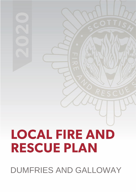# **LOCAL FIRE AND RESCUE PLAN**

DUMFRIES AND GALLOWAY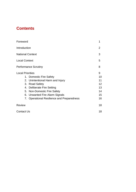## **Contents**

| Foreword                    |                                            | 1               |  |  |
|-----------------------------|--------------------------------------------|-----------------|--|--|
| Introduction                |                                            |                 |  |  |
| <b>National Context</b>     |                                            |                 |  |  |
| <b>Local Context</b>        |                                            |                 |  |  |
| <b>Performance Scrutiny</b> |                                            |                 |  |  |
| <b>Local Priorities</b>     |                                            |                 |  |  |
|                             | 1. Domestic Fire Safety                    | 10              |  |  |
|                             | 2. Unintentional Harm and Injury           | 11              |  |  |
|                             | 3. Road Safety                             | 12 <sub>2</sub> |  |  |
|                             | 4. Deliberate Fire Setting                 | 13              |  |  |
|                             | 5. Non-Domestic Fire Safety                | 14              |  |  |
|                             | 6. Unwanted Fire Alarm Signals             | 15              |  |  |
|                             | 7. Operational Resilience and Preparedness | 16              |  |  |
| <b>Review</b>               |                                            | 18              |  |  |
| <b>Contact Us</b>           |                                            |                 |  |  |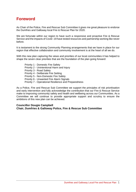## **Foreword**

As Chair of the Police, Fire and Rescue Sub Committee it gives me great pleasure to endorse the Dumfries and Galloway local Fire & Rescue Plan for 2020.

We are fortunate within our region to have such a responsive and proactive Fire & Rescue Service and the impacts of Covid -19 have tested resources and partnership working like never before.

It is testament to the strong Community Planning arrangements that we have in place for our region that effective collaboration and community involvement is at the heart of all we do.

With this new plan capturing the views and priorities of our local communities it has helped to shape the seven clear priorities that are the foundation of the plan going forward:

Priority 1 - Domestic Fire Safety Priority 2 - Unintentional Harm and Injury Priority 3 - Road Safety Priority 4 - Deliberate Fire Setting Priority 5 - Non-Domestic Fire Safety Priority 6 - Unwanted Fire Alarm Signals Priority 7 - Operational Resilience and Preparedness

As a Police, Fire and Rescue Sub Committee we support the principles of risk prioritisation and early intervention and fully acknowledge the contribution that our Fire & Rescue Service make to improving community safety and health and wellbeing across our Communities. As a Committee we will continue to provide appropriate support and scrutiny to ensure the ambitions of this new plan can be achieved.

#### **Councillor Dougie Campbell Chair, Dumfries & Galloway Police, Fire & Rescue Sub Committee**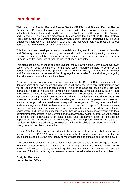### **Introduction**

Welcome to the Scottish Fire and Rescue Service (SFRS) Local Fire and Rescue Plan for Dumfries and Galloway. This plan has been created with a focus on placing our communities at the heart of everything we do, and to improve local outcomes for the people of the Dumfries and Galloway. This plan is the mechanism through which the aims of the SFRS's Strategic Plan 2019-22 and the Dumfries and Galloway Community Planning Partnership's (CPP) Local Outcomes Improvement Plan (LOIP) 2017-2027 are delivered locally to meet the agreed needs of the communities of Dumfries and Galloway.

This Plan has been developed to support the delivery of agreed local outcomes for Dumfries and Galloway communities, working in partnership with community planning partners to improve community safety, to enhance the well-being of those who live, work in, and visit Dumfries and Galloway, whilst tackling issues of social inequality.

This plan sets out my priorities and objectives for the SFRS within the Dumfries and Galloway Local Area for 2020 and beyond, and allows Local Authority partners to scrutinise the performance outcomes of these priorities. SFRS will work closely with partners in Dumfries and Galloway to ensure we are all "Working together for a safer Scotland" through targeting the risks to our communities at a local level.

As a public service organisation and as a member of the CPP, SFRS recognises that the demographics of our society are changing which will challenge us to continually improve how we deliver our services to our communities. This Plan focuses on those areas of risk and demand to maximise the potential to work in partnership. By using our capacity flexibly, more effectively and innovatively, we can ensure we direct our resources to the point of need within our communities to protect those most at risk and harm. The demands placed upon the SFRS to respond to a wide variety of incidents challenges us to ensure our personnel acquire and maintain a range of skills to enable us to respond to emergencies. Through the identification and the management of risks within the area, we will continue to prepare for these responses. However, we recognise on many occasions this demand can be reduced through effective engagement and intervention measures and through our on-going involvement with local community safety groups in the Dumfries and Galloway Local Authority area, we will continue to develop our understanding of local needs and proactively seek out consultation opportunities with all sections of the community. Using this approach, we will ensure that the services we deliver are driven by consultation, in line with public expectations and help build strong, safe and resilient communities.

Early in 2020 we faced an unprecedented challenge in the form of a global pandemic. In response to the COVID-19 outbreak, we dramatically changed how we worked so that we could continue to deliver an emergency service whilst keeping our staff and the public safe.

The pandemic is expected to have a lasting effect on society and this will change the way in which we deliver services in the long-term. The full implications are not yet known and this makes it difficult to make any far-reaching plans with certainty. As such we will keep the priorities of this Plan under regular review to ensure it remains relevant and appropriate.

#### **Craig McGoldrick Local Senior Officer**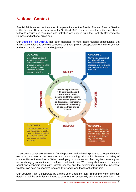## **National Context**

Scottish Ministers set out their specific expectations for the Scottish Fire and Rescue Service in the Fire and Rescue Framework for Scotland 2016. This provides the outline we should follow to ensure our resources and activities are aligned with the Scottish Government's Purpose and national outcomes.

Our [Strategic Plan 2019-22](https://www.firescotland.gov.uk/media/1476819/SFRS_Strategic_Plan_2019_22_V1.0.pdf) has been designed to meet these national expectations. Set against a complex and evolving backdrop our Strategic Plan encapsulates our mission, values and our strategic outcomes and objectives.



To ensure we can prevent the worst from happening and to be fully prepared to respond should we called, we need to be aware of any new changing risks which threaten the safety of communities or the workforce. When developing our most recent plan, cognisance was given to: our changing population and the forecasted rise in over 75s; doing what we can to balance social and economic inequality; climate change and the devastating impact the inclement weather can have on peoples' lives and livelihoods; and the threat of terrorism.

Our Strategic Plan is supported by a three-year Strategic Plan Programme which provides details on all the activities we intend to carry out to successfully achieve our ambitions. The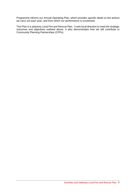Programme informs our Annual Operating Plan, which provides specific detail on the actions we carry out each year, and from which our performance is scrutinised.

This Plan is a statutory Local Fire and Rescue Plan. It sets local direction to meet the strategic outcomes and objectives outlined above. It also demonstrates how we will contribute to Community Planning Partnerships (CPPs).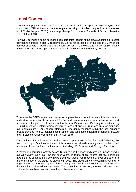## **Local Context**

The current population of Dumfries and Galloway, which is approximately 148,860 and constitutes 2.72% of the total number of persons living in Scotland, is predicted to decrease by \*2.8% by the year 2028 (\*percentage change from National Records of Scotland baseline year total for 2018).

However, during this same period the demographical aspect of the area suggests a projected significant increase in elderly residents by 23.7% for persons over the age of 75 whilst the number of people of working age and young persons are projected to fall by -16.8%. Infants and children age group up to 15 years of age is predicted to decrease by -14.2%.



To enable the SFRS to plan and deliver on a proactive and reactive basis, it is important to understand where and how demand for fire and rescue resources may arise in the short, medium and longer term. As a local authority area, Dumfries and Galloway is constituted by 12 multi-member electoral wards covering a range of diverse urban and rural communities over approximately 6,426 square kilometres. Emergency response within the local authority area is provided from 17 locations comprising of one Wholetime station (permanently crewed) and 16 stations which operate on an 'On Call' basis.

Our continued focus is to attract further career opportunities to Dumfries and Galloway; this would build upon Dumfries as the administrative centre, already sharing accommodation with a number of national functional resources including HR, Finance and Strategic Planning.

A review of operational activity across Dumfries and Galloway indicates an upward trend in overall activity levels over the last four years. In terms of fire related activity, accidental dwelling fires continue on a downward trend with these fires reducing by over one quarter of the total number of the same fire category in 2017. The provision of early warning, community engagement and the majority of incidents being dealt with in their initial stages has reduced the severity of fires within the home. The protection of, and engagement with our most vulnerable members has also been key to these reductions.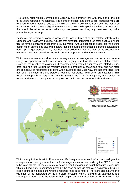Fire fatality rates within Dumfries and Galloway are extremely low with only one of the last three years reporting fire fatalities. The number of slight and serious fire casualties who are required to attend hospital due to their injuries shows a downward trend over the last three years although there was a slight increase in those taken to hospital in the last year. However, this should be taken in context with only one person requiring any treatment beyond a precautionary check-up.

Deliberate fire setting on average accounts for one in three of all fire related activity within Dumfries and Galloway. Figures indicate that although deliberate fires often fluctuate, these figures remain similar to those from previous years. Analysis identifies deliberate fire setting occurring on an ongoing basis with peaks identified during the springtime, bonfire season and during prolonged periods of dry weather. Most deliberate fires are classed as secondary in nature and on most occasions, occur in derelict properties and outdoor locations.

Whilst attendances at non-fire related emergencies on average account for around one in every five operational mobilisations and are slightly less than the number of fire related incidents, the number of fatalities and casualties are notably higher than fire related injuries (fatal and non-fatal).Whilst the majority of non-fire emergency casualties (fatal and non-fatal) are as a result of road traffic collisions within Dumfries and Galloway, another emerging trend has been identified in those persons requiring assistance from other organisations. This results in support being requested from the SFRS in the form of forcing entry into premises to render assistance to occupants or the provision of first responder (medical) assistance.



Whilst many incidents within Dumfries and Galloway are as a result of a confirmed genuine emergency, on average more than half of emergency responses made by the SFRS turn out to be false alarms. These alarms may be as a result of a genuine belief that a fire is occurring which subsequently is confirmed not to be the case or through malicious activity resulting in a report of fire being made knowing this report is false in its nature. There are also a number of warnings of fire generated by the fire alarm systems which, following an attendance and investigation, turn out to be false in their origin. Currently attendances to premises which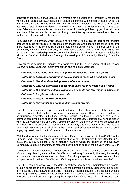generate these false signals account on average for a quarter of all emergency responses within Dumfries and Galloway resulting in disruption to those within the premises in which the alarm activates and also to the SFRS who, on many occasions, are diverted from other activities to attend these incidents. The remaining quarter of all emergency responses to all other false alarms are attributed to calls for domestic dwellings following genuine calls from members of the public with concerns or through tele linked systems employed to protect the wellbeing of those residents living within.

Reducing service demand, whilst developing the role of the SFRS as part of the ongoing process of public service reform, presents both challenges and opportunities for us to become more integrated in the community planning partnership environment. The introduction of the Community Empowerment (Scotland) Act 2015 placed a statutory duty upon the SFRS to take on an enhanced leadership role in community planning and through its active participation within the Dumfries & Galloway Strategic Partnership and Community Planning Executive Group.

Through these forums the Service has participated in the development of Dumfries and Galloway's Local Outcome Improvement Plan and its eight outcomes:

*Outcome 1: Everyone who needs help to work receives the right support. Outcome 2: Learning opportunities are available to those who need them most Outcome 3: Health and wellbeing inequalities are reduced Outcome 4: There is affordable and warm housing for those who need it most Outcome 5: The money available to people on benefits and low wages is maximised Outcome 6: People are safe and feel safe Outcome 7: People are well connected Outcome 8: Individuals and communities are empowered.*

The SFRS are committed, in partnership, to addressing these key issues and the delivery of local outcomes that make a positive contribution across Dumfries and Galloway's communities. In developing this Local Fire and Rescue Plan, the SFRS will seek to ensure its activities compliment and support the locality planning process. Operationally, working closely with the 12 Ward Officers and D&G Community Safety Team, the Service will be better able to undertake an assessment of community risk, identify and responding to their needs at a local level. Assurance that all of this is being managed effectively will be achieved through engaging closely within the D&G Area committee structure.

With the development of the Community Justice Outcomes Improvement Plan (CJOIP) within Dumfries and Galloway following the introduction of the Community Justice (Scotland) Act 2016, the SFRS will ensure, as a statutory partner within the Dumfries and Galloway Community Justice Partnership, its resources contribute to support the delivery of the CJOIP.

The delivery of shared outcomes is embedded within Dumfries and Galloway through its range of community planning approaches. Dumfries and Galloway Community Planning Partnership is committed to the delivery of its vision of working together "to create an ambitious, prosperous and confident Dumfries and Galloway where people achieve their potential".

The SFRS takes an active role in the delivery of these priorities and their intended outcomes through participation and engagement across the partnership arena. Supporting the delivery of Anti-Social Behaviour, Adult and Child Protection, Health and Social Care including Alcohol and Drug strategies are examples of where the SFRS can collaborate in the delivery of these priorities at a local level whilst pursuing the key priorities of this Local Fire and Rescue Plan.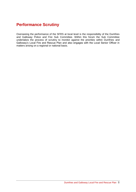## **Performance Scrutiny**

Overseeing the performance of the SFRS at local level is the responsibility of the Dumfries and Galloway Police and Fire Sub Committee. Within this forum the Sub Committee undertakes the process of scrutiny to monitor against the priorities within Dumfries and Galloway's Local Fire and Rescue Plan and also engages with the Local Senior Officer in matters arising on a regional or national basis.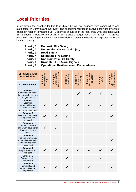## **Local Priorities**

In identifying the priorities for this Plan (listed below), we engaged with communities and stakeholder in Dumfries and Galloway. The engagement process involved asking the views of citizens in relation to what the SFRS priorities should be in the local area, what additional work SFRS should undertake and asking if SFRS should target those most at risk. This proved valuable in ensuring that the services SFRS delivers meets the needs and expectations of the local community.

- **Priority 1. Domestic Fire Safety**
- **Priority 2. Unintentional Harm and Injury**
- **Priority 3. Road Safety**
- **Priority 4. Deliberate Fire Setting**
- **Priority 5. Non-Domestic Fire Safety**
- **Priority 6. Unwanted Fire Alarm Signals**
- **Priority 7. Operational Resilience and Preparedness**

| <b>SFRS Local Area</b><br><b>Plan Priorities</b>                                                  | Domestic Fire<br>Priority 1<br>Safety | Harm and Injury<br>Unintentional<br>Priority 2 | Road Safety<br>Priority 3 | Fire<br>Priority 4<br>Setting<br>Deliberate | Non-Domestic<br>Fire Safety<br>Priority 5 | Priority 6<br><b>UFAS</b> | & Preparedness<br>Ops Resilience<br>Priority 7 |
|---------------------------------------------------------------------------------------------------|---------------------------------------|------------------------------------------------|---------------------------|---------------------------------------------|-------------------------------------------|---------------------------|------------------------------------------------|
| <b>LOIP Outcomes</b>                                                                              |                                       |                                                |                           |                                             |                                           |                           |                                                |
| <b>Outcome 1</b><br>Everyone who needs<br>help to work receives<br>the right support              |                                       |                                                |                           |                                             |                                           |                           |                                                |
| <b>Outcome 2</b><br>Learning<br>opportunities are<br>available to those<br>who need them most     |                                       |                                                |                           |                                             |                                           |                           |                                                |
| <b>Outcome 3</b><br>Health and wellbeing<br>inequalities are<br>reduced                           |                                       |                                                |                           |                                             |                                           |                           |                                                |
| <b>Outcome 4</b><br>There is affordable<br>and warm housing for<br>those who need it<br>most      |                                       |                                                |                           |                                             |                                           |                           |                                                |
| <b>Outcome 5</b><br>The money available<br>to people on benefits<br>and low wages is<br>maximised |                                       |                                                |                           |                                             |                                           |                           |                                                |
| <b>Outcome 6</b><br>People are safe and<br>feel safe                                              |                                       | $\checkmark$                                   |                           | $\checkmark$                                | $\checkmark$                              |                           |                                                |
| <b>Outcome 7</b><br>People are well<br>connected                                                  |                                       |                                                |                           |                                             |                                           |                           |                                                |
| <b>Outcome 8</b><br>Individuals and<br>communities are<br>empowered                               |                                       |                                                |                           |                                             |                                           |                           |                                                |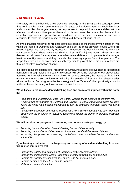#### **1. Domestic Fire Safety**

Fire safety within the home is a key prevention strategy for the SFRS as the consequence of fires within the home can result in a range of impacts on individuals, families, social landlords and communities. For organisations, the requirement to respond, intervene and deal with the aftermath of domestic fires places demand on its resources. To reduce this demand, it is essential approaches to prevention are evidence based in order to maximise and focus resources to make the biggest impact to safeguard those most at risk of fire.

Analysis of accidental dwelling fire data identifies cooking as the most common cause of fires within the home in Dumfries and Galloway and also the most prevalent cause where fire related injuries are sustained by occupants. Distraction has been identified as the main contributory factor where accidental dwelling fires and/or injuries occur. Those who are deemed at risk from fire may also have other vulnerabilities and impairments due to age, health or mobility reasons and they may also be receiving support from other partners. The scope therefore exists to work more closely together to protect those most at risk from fire through effective information sharing.

In order to reduce the potential for fires from occurring, influencing positive change in occupant behaviours through raising fire safety awareness will be at the forefront of our preventative activities. By increasing the ownership of working smoke detection, the means of giving early warning of fire will also contribute to mitigating the severity of fires and fire related injuries within the home. By using assistive technology such as 'Telecare', the opportunity exists to further enhance the safety of those who are at risk from fire.

#### **We will seek to reduce accidental dwelling fires and fire related injuries within the home by:**

- *Promoting and undertaking Home Fire Safety Visits to those deemed at risk from fire.*
- *Working with our partners in Dumfries and Galloway to share information where fire risks within the home have been identified and to provide solutions to protect those who are at risk.*
- *Focusing engagement activities in those areas where Service demand has been identified.*
- *Supporting the provision of assistive technology within the home to increase occupant safety.*

#### **We will monitor our progress in promoting our domestic safety strategy by:**

- *Reducing the number of accidental dwelling fires and their severity.*
- *Reducing the number and the severity of fatal and non-fatal fire related injuries.*
- *Increasing the presence of working smoke/heat detection within homes of the most vulnerable.*

#### **By achieving a reduction in the frequency and severity of accidental dwelling fires and fire related injuries we will:**

- *Support the safety and wellbeing of Dumfries and Galloway residents.*
- *Support the independent living of vulnerable members within our communities.*
- *Reduce the social and economic cost of fires and fire related injuries.*
- *Reduce demand on the SFRS and its partners.*
- *Make our communities safer.*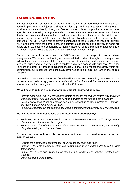#### **2. Unintentional Harm and Injury**

It is not uncommon for those at risk from fire to also be at risk from other injuries within the home, in particular from injuries arising from slips, trips and falls. Requests to the SFRS to provide assistance directly through a first responder role or to provide support to other agencies are increasing. Analysis of data indicates falls are a common cause of accidental deaths and injuries and account for a significant proportion of admissions to hospital. Those persons injured through falls may often by affected by other medical conditions such as dementia. The SFRS has a role to play in contributing to the protection of those at risk from injury and harm within the home. Through operational attendances and delivery of home fire safety visits, we have the opportunity to identify those at risk and through an assessment of such risk, refer individuals to partner organisations for additional support.

Out of the domestic environment, the SFRS respond to a range of non-fire related emergencies. We respond to flooding and water related incidents throughout the region. We will continue to develop our staff to meet local needs including undertaking preventative measures such as water safety inputs to children as well as working with our Local Resilience Partners and other key groups to minimise the risk. To maximise impact and safety within our communities our resources are continually reviewed to make sure they are in the correct locations.

Due to the increase in number of non-fire related incidents now attended by the SFRS and the increased emphasis being given to road safety within Dumfries and Galloway, road safety is now included within priority area 3. – Road Traffic Collisions.

#### **We will seek to reduce the impact of unintentional injury and harm by:**

- *Utilising our Home Fire Safety Visit programme to assess for non-fire related risk and refer those deemed at risk from injury and harm to partners to provide additional support.*
- *Raising awareness of fire and rescue service personnel as to those factors that increase the risk of unintentional injury or harm.*
- *Focusing resources where demand has been identified and deliver key safety messages.*

#### **We will monitor the effectiveness of our intervention strategies by:**

- *Reviewing the number of requests for assistance from other agencies and for the provision of medical and first responder support.*
- *Reduce the number of other non-fire related emergencies and the frequency and severity of injuries arising from these incidents.*

#### **By achieving a reduction in the frequency and severity of unintentional harm and injuries we will:**

- *Reduce the social and economic cost of unintentional harm and injury.*
- *Support vulnerable members within our communities to live independently within their communities.*
- *Ensure the safety and wellbeing of those living, working and visiting Dumfries and Galloway.*
- *Make our communities safer.*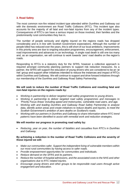#### **3. Road Safety**

The most common non-fire related incident type attended within Dumfries and Galloway out with the domestic environment are Road Traffic Collisions (RTC). This incident type also accounts for the majority of all fatal and non-fatal injuries from any of the incident types. Consequences of RTC's can have a serious impact on those involved, their families and the predominantly rural communities they live in.

The number of people seriously and slightly injured on the regions roads has dropped considerably and is in line with Scottish Government expectations. Although the number of people killed has reduced over the years, this is still short of our local ambitions. Improvements in this priority area are due to ongoing education programmes, encouragement, enforcement, road improvements and advances in car technology. A single road death is still one too many and, as an organisation, we will continue to work towards 'zero' road deaths on the region's roads.

Responding to RTCs is a statutory duty for the SFRS, however a collective approach is required amongst community planning partners to support risk reduction measures. As a partner, the SFRS will support the education of young drivers who are considered to be an 'at risk' group and support other initiatives intended to reduce the instances and impact of RTCs within Dumfries and Galloway. We will continue to support and drive forward initiatives through our membership of the Dumfries and Galloway Road Safety Partnership.

#### **We will seek to reduce the number of Road Traffic Collisions and resulting fatal and non-fatal injuries on the regions roads by:**

- *Working in partnership to deliver targeted road safety programmes to young drivers.*
- *Working in partnership to deliver targeted road safety programmes and messages to 'Priority Focus Areas' including speed and motorcycles, vulnerable road users, and age.*
- *Working with and leading Dumfries and Galloway Road Safety Partnership to analyse data, identify action areas and create initiatives to reduce deaths and injuries, to meet the Scottish Government's ambition of zero deaths on Scotland's roads.*
- *Working with our partners in Dumfries and Galloway to share information where RTC trend patterns have been identified to assist with remedial work and reduction strategies.*

#### **We will monitor our progress in promoting road safety by:**

• *Reducing, year on year, the number of fatalities and casualties from RTC's in Dumfries and Galloway.*

#### **By achieving a reduction in the number of Road Traffic Collisions and the severity of those injured we will:**

- *Make our communities safer. Support the independent living of vulnerable members within our most rural communities by having access to safer roads.*
- *Provide empowerment opportunities for communities and individuals.*
- *Reduce demand on the SFRS and its partners.*
- *Reduce the number of hospital admissions, and the associated costs to the NHS and other organisations due to RTC related injuries.*
- *Encourage young drivers and other groups to be responsible road users through active engagement and education.*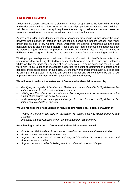#### **4. Deliberate Fire Setting**

Deliberate fire setting accounts for a significant number of operational incidents with Dumfries and Galloway and takes various forms. Whilst a small proportion involves occupied buildings, vehicles and outdoor structures (primary fires), the majority of deliberate fires are classed as secondary in nature and on most occasions occur in outdoor locations.

Analysis of incident data identifies deliberate secondary fires occurring throughout the year, however peak activity is noted in the springtime, during the bonfire season and when prolonged periods of dry weather arise. Deliberate fire setting is regarded as anti-social behaviour and is also criminal in nature. These acts can lead to serious consequences such as personal injury, damage to property and the environment. Dealing with instances of deliberate fire setting also diverts fire and rescue resources from other meaningful activities.

Working in partnership, we will seek to combine our information to identify those parts of our communities that are being affected by anti-social behaviour in order to reduce such instances whilst tackling the underlying causes of such behaviour. On some occasions the SFRS will work with Police Scotland to investigate deliberate fire setting to determine the cause and if possible, those responsible for such acts. Diversionary and engagement activity is regarded as an important approach in tackling anti-social behaviour and will continue to be part of our approach to raise awareness of the impact of this unwanted activity.

#### **We will seek to reduce the instances of fire related anti-social behaviour by:**

- *Identifying those parts of Dumfries and Galloway's communities affected by deliberate fire setting to share this information with our partners.*
- *Utilising our Firesetters and school's education programmes to raise awareness of the impact of fire related anti-social behaviour.*
- *Working with partners to develop joint strategies to reduce the risk posed by deliberate fire setting and to mitigate its impacts.*

#### **We will monitor the effectiveness of reducing fire related anti-social behaviour by:**

- *Reduce the number and type of deliberate fire setting incidents within Dumfries and Galloway.*
- *Evaluating the effectiveness of our young engagement programmes.*

#### **By achieving a reduction in fire related anti-social behaviour we will:**

- *Enable the SFRS to divert its resources towards other community-based activities.*
- *Protect the natural and built environment.*
- *Support the promotion of active and responsible citizenship across Dumfries and Galloway's communities.*
- *Support our communities in feeling safe from crime, disorder and danger.*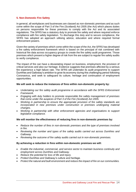#### **5. Non-Domestic Fire Safety**

In general, all workplaces and businesses are classed as non-domestic premises and as such come within the scope of Part 3 of the Fire (Scotland) Act 2005 (the Act) which places duties on persons responsible for these premises to comply with the Act and its associated regulations. The SFRS has a statutory duty to promote fire safety and where required enforce compliance with fire safety legislation. To discharge this duty and to secure compliance, the SFRS has adopted an approach utilising advice, education and where required formal enforcement powers.

Given the variety of premises which come within the scope of the Act, the SFRS has developed a fire safety enforcement framework which is based on the principal of risk combined with historical fire data across occupancy groups to create the fire safety audit programme. Those premises which present a higher degree of risk from fire are subject to regular fire safety audits to verify compliance.

The impact of fire can have a devastating impact on business, employment, the provision of critical services and also our heritage. Evidence suggests that premises affected by a serious fire experience a high failure rate. The SFRS will undertake its audit programme to support Dumfries and Galloway's ambition to grow its economy during this challenging period following Coronavirus, and seek to safeguard its culture, heritage and continuation of employment opportunities.

#### **We will seek to reduce the instances of fires within non-domestic property by:**

- *Undertaking our fire safety audit programme in accordance with the SFRS Enforcement Framework.*
- *Engaging with duty holders to promote responsible fire safety management of premises that come under the auspices of Part 3 of the Fire (Scotland) Act 2005.*
- *Working in partnership to ensure the appropriate provision of fire safety standards are incorporated in new premises under construction or premises undergoing material changes.*
- *Working in partnership with other enforcement agencies and organisations to support legislative compliance.*

#### **We will monitor the effectiveness of reducing fires in non-domestic premises by:**

- *Reduce the number of fires in non-domestic premises and the type of premises involved in fire.*
- *Reviewing the number and types of fire safety audits carried out across Dumfries and Galloway.*
- *Reviewing the outcome of fire safety audits carried out in non-domestic premises.*

#### **By achieving a reduction in fires within non-domestic premises we will:**

- *Enable the industrial, commercial, and service sector to maintain business continuity and employment across Dumfries and Galloway.*
- *Reduce the potential for loss of life and injury.*
- *Protect Dumfries and Galloway's culture and heritage.*
- *Protect the natural and built environment and reduce the impact of fire on our communities.*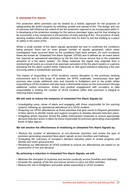#### **6. Unwanted Fire Alarms**

Fire protection within premises can be viewed as a holistic approach for the purposes of safeguarding life and/or property by inhibiting, growth and spread of fire. The design and use of premises will influence the extent of the fire protection required to be incorporated within it. In developing a fire protection strategy for the various premises' types and for that strategy to be successful, a key component is the provision of early warning of fire. The provision of early warning enables those within premises sufficient time for them to exit the building to a place of safety in the event of fire.

Whilst a small number of fire alarm signals generated are due to confirmed fire conditions being present, there are an even greater number of signals generated, which when investigated, have occurred when no fire conditions have been present. On such occasions these are known as 'Unwanted Fire Alarm Signals' (UFAS) and is defined as 'an event which has required an operational attendance by the fire and rescue service due to the unwanted actuation of a fire alarm system'. On these instances the signal may originate from a monitoring/call centre as a result of an automatic activation of the fire alarm system or a person activating the fire alarm system either maliciously or with good intentions believing a fire was occurring within a nondomestic premises.

The impact of responding to UFAS incidents causes disruption to the premises working environment and to the range of activities the SFRS undertake. Unnecessary blue light journeys also create additional risks and hazards to firefighters and to the public whilst responding to UFAS incidents and also have a detrimental impact on the environment through additional carbon emissions. Active and positive engagement with occupiers to take responsibility in limiting the number of UFAS incidents within their premises is integral to reducing these impacts.

#### **We will seek to reduce the instances of Unwanted Fire Alarm Signals by:**

- *Investigating every cause of alarm and engaging with those responsible for fire warning systems following an operational attendance at a UFAS incident.*
- *Analysing our UFAS attendances at those premises that give cause to frequent generation of false alarms to identify trends and support occupiers to develop demand reduction plans.*
- *Instigating where required, formal fire safety enforcement measures to ensure appropriate demand reduction action is taken by those responsible for premises generating unacceptable levels of false alarms.*

#### **We will monitor the effectiveness of mobilising to Unwanted Fire Alarm Signals by:**

- *Reduce the number of attendances at non-domestic premises and review the type of premises generating unwanted false alarm signals across Dumfries and Galloway.*
- *Evaluating the outcomes of occupier's demand reduction plans to review progress and identify and share good practice.*
- *Reviewing our attendances at UFAS incidents to ensure our attendances are based on an assessment of risk and demand.*

#### **By achieving a reduction in Unwanted Fire Alarm Signals, we will:**

- *Minimise the disruption to business and service continuity across Dumfries and Galloway.*
- *Increase the capacity of the fire and rescue service to carry out other activities.*
- *Reduce the risk to firefighters and public whilst responding to UFAS incidents.*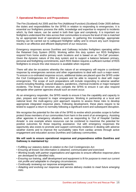#### **7. Operational Resilience and Preparedness**

The Fire (Scotland) Act 2005 and the Fire (Additional Function) (Scotland) Order 2005 defines the duties and responsibilities for the SFRS in relation to responding to emergencies. It is essential our firefighters possess the skills, knowledge and expertise to respond to incidents which, by their nature, can be varied in both their type and complexity. It is important our firefighters understand the risks across their communities to ensure the level of risk is matched by an appropriate level of operational response. In gathering this knowledge, appropriate training can be carried out to safeguard firefighter safety and to ensure any such response results in an effective and efficient deployment of our resources.

Emergency responses across Dumfries and Galloway includes firefighters operating within the Retained Duty System (RDS). Working within this duty system our RDS firefighters respond from home and/or primary work locations and is based on an 'On-Call' provision. Given the dynamic nature of this duty system and to support a balance between primary, personal and firefighting commitments, each RDS Station requires a sufficient number of RDS firefighters to ensure this vital resource is available when required.

There will also be occasions whereby the nature of an emergency will require a combined response by emergencies services and other organisations to deal with such a major event. To ensure a co-ordinated response occurs, additional duties are placed upon the SFRS under the Civil Contingencies Act 2004 to prepare and be able to respond to deal with major emergencies. The scope of such preparations will include responding to adverse weather events including flooding, natural disasters, pandemics, chemical incidents or major transport incidents. The threat of terrorism also compels the SFRS to ensure it can also respond alongside other partner agencies should such an event occur.

As an emergency responder, the SFRS needs to ensure it has the capability and capacity to plan, prepare and respond to major emergencies. Working in partnership at a local and national level, the multi-agency joint approach requires to assess these risks to develop appropriate integrated response plans. Following development, these plans require to be tested to support a return to normality following a significant event and subsequent disruption.

We recognise the potential for the role of the SFRS to evolve which provides scope to further protect those members of our communities from harm in the event of an emergency. Assisting other agencies in emergency situations, such as responding to 'Out of Hospital Cardiac Arrests' is one example where resources can be combined to maximise the potential for positive outcomes for those requiring assistance. Out with emergency responses the opportunity also exists to promote and support community resilience in dealing with adverse weather events and to improve the survivability rates from cardiac arrests through active engagement and education across Dumfries and Galloway communities.

#### **We will seek to ensure operational response and preparedness within Dumfries and Galloway is maintained by:**

- *Fulfilling our statutory duties in relation to the Civil Contingencies Act.*
- *Ensuring all known risk information is obtained, communicated and exercised.*
- *Working locally with partner organisations and agencies to ensure effective response plans are developed for identified risks.*
- *Ensuring our training, staff development and equipment is fit for purpose to meet our current risk profile and adaptable to changing circumstances.*
- *Continually reviewing our response arrangements.*
- *Adapting and evolving our response and service delivery models to meet future emerging risks.*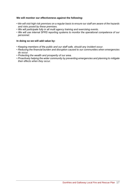#### **We will monitor our effectiveness against the following:**

- *We will visit high risk premises on a regular basis to ensure our staff are aware of the hazards and risks posed by these premises.*
- *We will participate fully in all multi agency training and exercising events.*
- *We will use internal SFRS reporting systems to monitor the operational competence of our personnel.*

#### **In doing so we will add value by:**

- *Keeping members of the public and our staff safe, should any incident occur.*
- *Reducing the financial burden and disruption caused to our communities when emergencies do occur.*
- *Protecting the wealth and prosperity of our area.*
- *Proactively helping the wider community by preventing emergencies and planning to mitigate their effects when they occur.*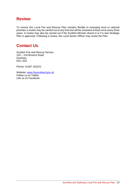## **Review**

To ensure this Local Fire and Rescue Plan remains flexible to emerging local or national priorities a review may be carried out at any time but will be reviewed at least once every three years. A review may also be carried out if the Scottish Minister directs it or if a new Strategic Plan is approved. Following a review, the Local Senior Officer may revise the Plan.

## **Contact Us**

Scottish Fire and Rescue Service 120 – 124 Brooms Road **Dumfries** DG1 2DZ

Phone: 01387 252222

Website: [www.firescotland.gov.uk](http://www.firescotland.gov.uk/) Follow us on Twitter Like us on Facebook